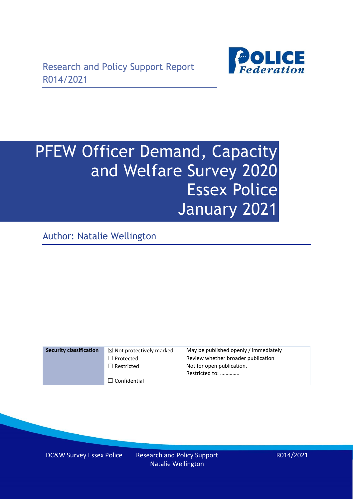

# PFEW Officer Demand, Capacity and Welfare Survey 2020 Essex Police January 2021

Author: Natalie Wellington

| <b>Security classification</b> | $\boxtimes$ Not protectively marked | May be published openly / immediately       |
|--------------------------------|-------------------------------------|---------------------------------------------|
|                                | $\Box$ Protected                    | Review whether broader publication          |
|                                | $\Box$ Restricted                   | Not for open publication.<br>Restricted to: |
|                                | $\Box$ Confidential                 |                                             |

DC&W Survey Essex Police Research and Policy Support

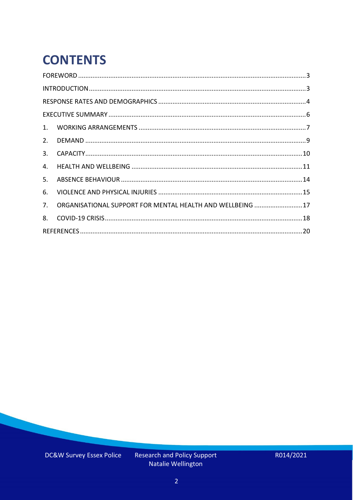# **CONTENTS**

| 2.          |                                                            |  |
|-------------|------------------------------------------------------------|--|
| 3.          |                                                            |  |
| 4.          |                                                            |  |
| 5.          |                                                            |  |
| 6.          |                                                            |  |
| $7_{\cdot}$ | ORGANISATIONAL SUPPORT FOR MENTAL HEALTH AND WELLBEING  17 |  |
| 8.          |                                                            |  |
|             |                                                            |  |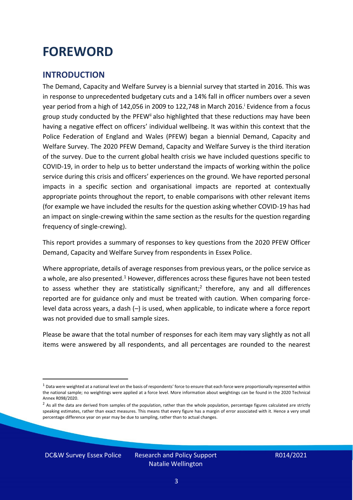### <span id="page-2-0"></span>**FOREWORD**

#### <span id="page-2-1"></span>**INTRODUCTION**

The Demand, Capacity and Welfare Survey is a biennial survey that started in 2016. This was in response to unprecedented budgetary cuts and a 14% fall in officer numbers over a seven year period from a high of 142,056 in 2009 to 122,748 in March 2016. <sup>i</sup> Evidence from a focus group study conducted by the PFEW<sup>ii</sup> also highlighted that these reductions may have been having a negative effect on officers' individual wellbeing. It was within this context that the Police Federation of England and Wales (PFEW) began a biennial Demand, Capacity and Welfare Survey. The 2020 PFEW Demand, Capacity and Welfare Survey is the third iteration of the survey. Due to the current global health crisis we have included questions specific to COVID-19, in order to help us to better understand the impacts of working within the police service during this crisis and officers' experiences on the ground. We have reported personal impacts in a specific section and organisational impacts are reported at contextually appropriate points throughout the report, to enable comparisons with other relevant items (for example we have included the results for the question asking whether COVID-19 has had an impact on single-crewing within the same section as the results for the question regarding frequency of single-crewing).

This report provides a summary of responses to key questions from the 2020 PFEW Officer Demand, Capacity and Welfare Survey from respondents in Essex Police.

Where appropriate, details of average responses from previous years, or the police service as a whole, are also presented.<sup>1</sup> However, differences across these figures have not been tested to assess whether they are statistically significant;<sup>2</sup> therefore, any and all differences reported are for guidance only and must be treated with caution. When comparing forcelevel data across years, a dash (–) is used, when applicable, to indicate where a force report was not provided due to small sample sizes.

Please be aware that the total number of responses for each item may vary slightly as not all items were answered by all respondents, and all percentages are rounded to the nearest

DC&W Survey Essex Police Research and Policy Support

 $1$  Data were weighted at a national level on the basis of respondents' force to ensure that each force were proportionally represented within the national sample; no weightings were applied at a force level. More information about weightings can be found in the 2020 Technical Annex R098/2020.

 $2$  As all the data are derived from samples of the population, rather than the whole population, percentage figures calculated are strictly speaking estimates, rather than exact measures. This means that every figure has a margin of error associated with it. Hence a very small percentage difference year on year may be due to sampling, rather than to actual changes.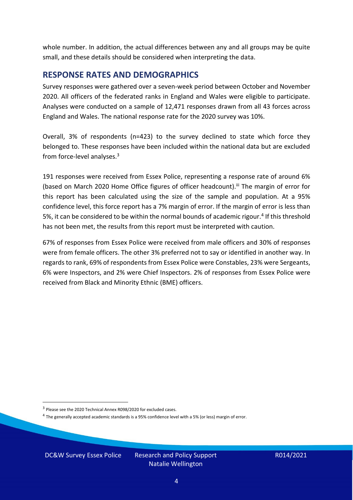whole number. In addition, the actual differences between any and all groups may be quite small, and these details should be considered when interpreting the data.

#### <span id="page-3-0"></span>**RESPONSE RATES AND DEMOGRAPHICS**

Survey responses were gathered over a seven-week period between October and November 2020. All officers of the federated ranks in England and Wales were eligible to participate. Analyses were conducted on a sample of 12,471 responses drawn from all 43 forces across England and Wales. The national response rate for the 2020 survey was 10%.

Overall, 3% of respondents (n=423) to the survey declined to state which force they belonged to. These responses have been included within the national data but are excluded from force-level analyses. 3

191 responses were received from Essex Police, representing a response rate of around 6% (based on March 2020 Home Office figures of officer headcount).<sup>iii</sup> The margin of error for this report has been calculated using the size of the sample and population. At a 95% confidence level, this force report has a 7% margin of error. If the margin of error is less than 5%, it can be considered to be within the normal bounds of academic rigour.<sup>4</sup> If this threshold has not been met, the results from this report must be interpreted with caution.

67% of responses from Essex Police were received from male officers and 30% of responses were from female officers. The other 3% preferred not to say or identified in another way. In regards to rank, 69% of respondents from Essex Police were Constables, 23% were Sergeants, 6% were Inspectors, and 2% were Chief Inspectors. 2% of responses from Essex Police were received from Black and Minority Ethnic (BME) officers.

DC&W Survey Essex Police Research and Policy Support

<sup>&</sup>lt;sup>3</sup> Please see the 2020 Technical Annex R098/2020 for excluded cases.

<sup>&</sup>lt;sup>4</sup> The generally accepted academic standards is a 95% confidence level with a 5% (or less) margin of error.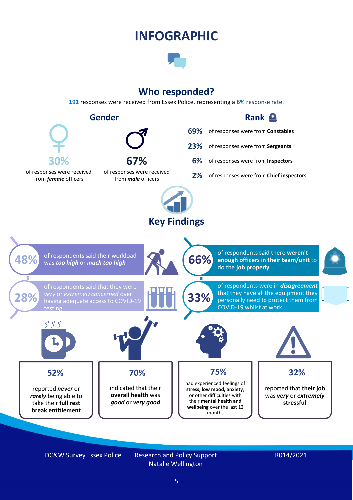### **INFOGRAPHIC**

### **Who responded?**

**191** responses were received from Essex Police, representing a **6%** response rate.



DC&W Survey Essex Police Research and Policy Support

Natalie Wellington

#### R014/2021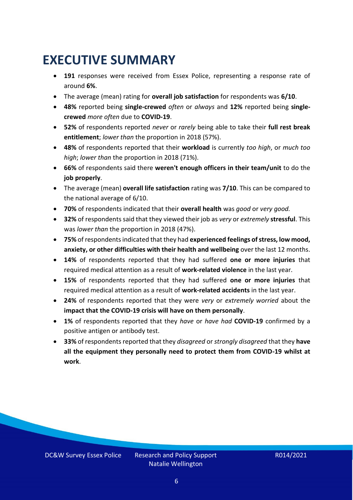### <span id="page-5-0"></span>**EXECUTIVE SUMMARY**

- **191** responses were received from Essex Police, representing a response rate of around **6%**.
- The average (mean) rating for **overall job satisfaction** for respondents was **6/10**.
- **48%** reported being **single-crewed** *often* or *always* and **12%** reported being **singlecrewed** *more often* due to **COVID-19**.
- **52%** of respondents reported *never* or *rarely* being able to take their **full rest break entitlement**; *lower than* the proportion in 2018 (57%).
- **48%** of respondents reported that their **workload** is currently *too high*, or *much too high*; *lower than* the proportion in 2018 (71%).
- **66%** of respondents said there **weren't enough officers in their team/unit** to do the **job properly**.
- The average (mean) **overall life satisfaction** rating was **7/10**. This can be compared to the national average of 6/10.
- **70%** of respondents indicated that their **overall health** was *good* or *very good.*
- **32%** of respondents said that they viewed their job as *very* or *extremely* **stressful**. This was *lower than* the proportion in 2018 (47%).
- **75%** of respondents indicated that they had **experienced feelings of stress, low mood, anxiety, or other difficulties with their health and wellbeing** over the last 12 months.
- **14%** of respondents reported that they had suffered **one or more injuries** that required medical attention as a result of **work-related violence** in the last year.
- **15%** of respondents reported that they had suffered **one or more injuries** that required medical attention as a result of **work-related accidents** in the last year.
- **24%** of respondents reported that they were *very* or *extremely worried* about the **impact that the COVID-19 crisis will have on them personally**.
- **1%** of respondents reported that they *have* or *have had* **COVID-19** confirmed by a positive antigen or antibody test.
- **33%** of respondents reported that they *disagreed* or *strongly disagreed* that they **have all the equipment they personally need to protect them from COVID-19 whilst at work**.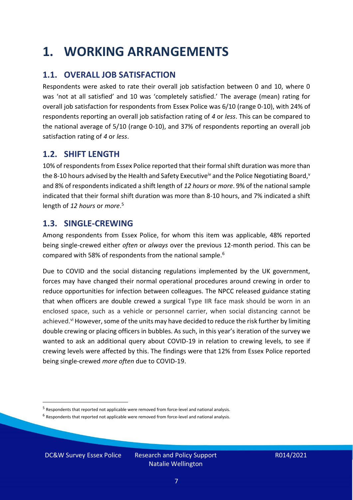### <span id="page-6-0"></span>**1. WORKING ARRANGEMENTS**

### **1.1. OVERALL JOB SATISFACTION**

Respondents were asked to rate their overall job satisfaction between 0 and 10, where 0 was 'not at all satisfied' and 10 was 'completely satisfied.' The average (mean) rating for overall job satisfaction for respondents from Essex Police was 6/10 (range 0-10), with 24% of respondents reporting an overall job satisfaction rating of *4* or *less*. This can be compared to the national average of 5/10 (range 0-10), and 37% of respondents reporting an overall job satisfaction rating of *4* or *less*.

### **1.2. SHIFT LENGTH**

10% of respondents from Essex Police reported that their formal shift duration was more than the 8-10 hours advised by the Health and Safety Executive<sup>iv</sup> and the Police Negotiating Board,<sup>v</sup> and 8% of respondents indicated a shift length of *12 hours* or *more*. 9% of the national sample indicated that their formal shift duration was more than 8-10 hours, and 7% indicated a shift length of *12 hours* or *more*. 5

### **1.3. SINGLE-CREWING**

Among respondents from Essex Police, for whom this item was applicable, 48% reported being single-crewed either *often* or *always* over the previous 12-month period. This can be compared with 58% of respondents from the national sample.<sup>6</sup>

Due to COVID and the social distancing regulations implemented by the UK government, forces may have changed their normal operational procedures around crewing in order to reduce opportunities for infection between colleagues. The NPCC released guidance stating that when officers are double crewed a surgical Type IIR face mask should be worn in an enclosed space, such as a vehicle or personnel carrier, when social distancing cannot be achieved.<sup>vi</sup> However, some of the units may have decided to reduce the risk further by limiting double crewing or placing officers in bubbles. As such, in this year's iteration of the survey we wanted to ask an additional query about COVID-19 in relation to crewing levels, to see if crewing levels were affected by this. The findings were that 12% from Essex Police reported being single-crewed *more often* due to COVID-19.

DC&W Survey Essex Police Research and Policy Support

<sup>&</sup>lt;sup>5</sup> Respondents that reported not applicable were removed from force-level and national analysis.

 $<sup>6</sup>$  Respondents that reported not applicable were removed from force-level and national analysis.</sup>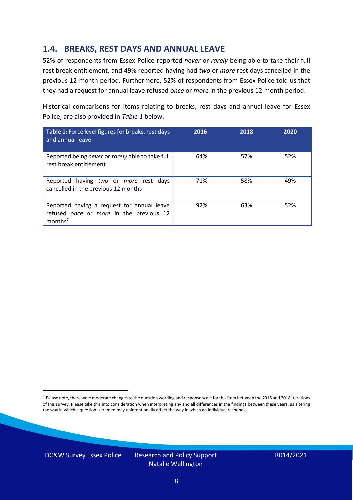### **1.4. BREAKS, REST DAYS AND ANNUAL LEAVE**

52% of respondents from Essex Police reported *never* or *rarely* being able to take their full rest break entitlement, and 49% reported having had *two* or *more* rest days cancelled in the previous 12-month period. Furthermore, 52% of respondents from Essex Police told us that they had a request for annual leave refused *once* or *more* in the previous 12-month period.

Historical comparisons for items relating to breaks, rest days and annual leave for Essex Police, are also provided in *Table 1* below.

| Table 1: Force level figures for breaks, rest days<br>and annual leave                                       | 2016 | 2018 | 2020 |
|--------------------------------------------------------------------------------------------------------------|------|------|------|
| Reported being never or rarely able to take full<br>rest break entitlement                                   | 64%  | 57%  | 52%  |
| Reported having two or more rest days<br>cancelled in the previous 12 months                                 | 71%  | 58%  | 49%  |
| Reported having a request for annual leave<br>refused once or more in the previous 12<br>months <sup>7</sup> | 92%  | 63%  | 52%  |

DC&W Survey Essex Police Research and Policy Support

<sup>&</sup>lt;sup>7</sup> Please note, there were moderate changes to the question wording and response scale for this item between the 2016 and 2018 iterations of this survey. Please take this into consideration when interpreting any and all differences in the findings between these years, as altering the way in which a question is framed may unintentionally affect the way in which an individual responds.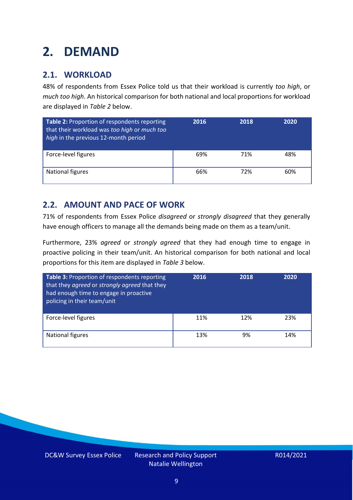### <span id="page-8-0"></span>**2. DEMAND**

### **2.1. WORKLOAD**

48% of respondents from Essex Police told us that their workload is currently *too high*, or *much too high*. An historical comparison for both national and local proportions for workload are displayed in *Table 2* below.

| Table 2: Proportion of respondents reporting<br>that their workload was too high or much too<br>high in the previous 12-month period | 2016 | 2018 | 2020 |
|--------------------------------------------------------------------------------------------------------------------------------------|------|------|------|
| Force-level figures                                                                                                                  | 69%  | 71%  | 48%  |
| National figures                                                                                                                     | 66%  | 72%  | 60%  |

### **2.2. AMOUNT AND PACE OF WORK**

71% of respondents from Essex Police *disagreed* or *strongly disagreed* that they generally have enough officers to manage all the demands being made on them as a team/unit.

Furthermore, 23% *agreed* or *strongly agreed* that they had enough time to engage in proactive policing in their team/unit. An historical comparison for both national and local proportions for this item are displayed in *Table 3* below.

| Table 3: Proportion of respondents reporting<br>that they agreed or strongly agreed that they<br>had enough time to engage in proactive<br>policing in their team/unit | 2016 | 2018 | 2020 |
|------------------------------------------------------------------------------------------------------------------------------------------------------------------------|------|------|------|
| Force-level figures                                                                                                                                                    | 11%  | 12%  | 23%  |
| National figures                                                                                                                                                       | 13%  | 9%   | 14%  |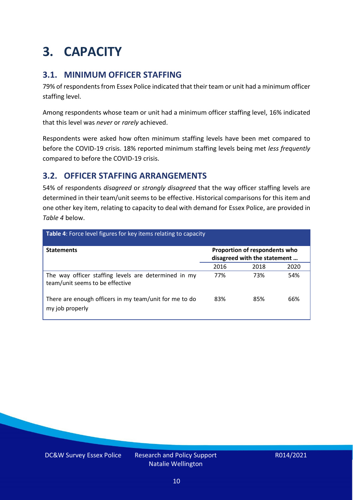## <span id="page-9-0"></span>**3. CAPACITY**

### **3.1. MINIMUM OFFICER STAFFING**

79% of respondents from Essex Police indicated that their team or unit had a minimum officer staffing level.

Among respondents whose team or unit had a minimum officer staffing level, 16% indicated that this level was *never* or *rarely* achieved.

Respondents were asked how often minimum staffing levels have been met compared to before the COVID-19 crisis. 18% reported minimum staffing levels being met *less frequently* compared to before the COVID-19 crisis.

### **3.2. OFFICER STAFFING ARRANGEMENTS**

54% of respondents *disagreed* or *strongly disagreed* that the way officer staffing levels are determined in their team/unit seems to be effective. Historical comparisons for this item and one other key item, relating to capacity to deal with demand for Essex Police, are provided in *Table 4* below.

| <b>Table 4:</b> Force level figures for key items relating to capacity                  |      |                                                               |      |
|-----------------------------------------------------------------------------------------|------|---------------------------------------------------------------|------|
| <b>Statements</b>                                                                       |      | Proportion of respondents who<br>disagreed with the statement |      |
|                                                                                         | 2016 | 2018                                                          | 2020 |
| The way officer staffing levels are determined in my<br>team/unit seems to be effective | 77%  | 73%                                                           | 54%  |
| There are enough officers in my team/unit for me to do<br>my job properly               | 83%  | 85%                                                           | 66%  |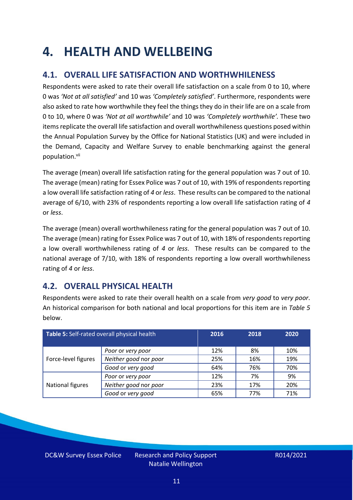### <span id="page-10-0"></span>**4. HEALTH AND WELLBEING**

### **4.1. OVERALL LIFE SATISFACTION AND WORTHWHILENESS**

Respondents were asked to rate their overall life satisfaction on a scale from 0 to 10, where 0 was *'Not at all satisfied'* and 10 was *'Completely satisfied'*. Furthermore, respondents were also asked to rate how worthwhile they feel the things they do in their life are on a scale from 0 to 10, where 0 was *'Not at all worthwhile'* and 10 was *'Completely worthwhile'.* These two items replicate the overall life satisfaction and overall worthwhileness questions posed within the Annual Population Survey by the Office for National Statistics (UK) and were included in the Demand, Capacity and Welfare Survey to enable benchmarking against the general population. vii

The average (mean) overall life satisfaction rating for the general population was 7 out of 10. The average (mean) rating for Essex Police was 7 out of 10, with 19% of respondents reporting a low overall life satisfaction rating of *4* or *less*. These results can be compared to the national average of 6/10, with 23% of respondents reporting a low overall life satisfaction rating of *4* or *less*.

The average (mean) overall worthwhileness rating for the general population was 7 out of 10. The average (mean) rating for Essex Police was 7 out of 10, with 18% of respondents reporting a low overall worthwhileness rating of *4* or *less*. These results can be compared to the national average of 7/10, with 18% of respondents reporting a low overall worthwhileness rating of *4* or *less*.

### **4.2. OVERALL PHYSICAL HEALTH**

Respondents were asked to rate their overall health on a scale from *very good* to *very poor*. An historical comparison for both national and local proportions for this item are in *Table 5* below.

| Table 5: Self-rated overall physical health |                       | 2016 | 2018 | 2020 |
|---------------------------------------------|-----------------------|------|------|------|
|                                             | Poor or very poor     | 12%  | 8%   | 10%  |
| Force-level figures                         | Neither good nor poor | 25%  | 16%  | 19%  |
|                                             | Good or very good     | 64%  | 76%  | 70%  |
|                                             | Poor or very poor     | 12%  | 7%   | 9%   |
| National figures                            | Neither good nor poor | 23%  | 17%  | 20%  |
|                                             | Good or very good     | 65%  | 77%  | 71%  |

DC&W Survey Essex Police Research and Policy Support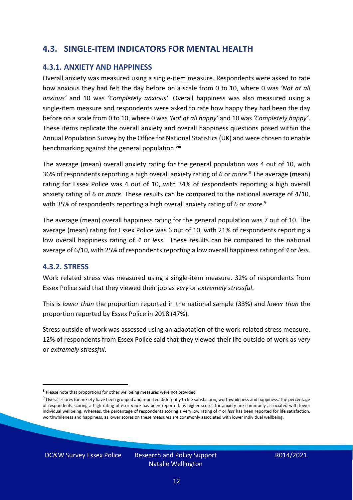### **4.3. SINGLE-ITEM INDICATORS FOR MENTAL HEALTH**

#### **4.3.1. ANXIETY AND HAPPINESS**

Overall anxiety was measured using a single-item measure. Respondents were asked to rate how anxious they had felt the day before on a scale from 0 to 10, where 0 was *'Not at all anxious'* and 10 was *'Completely anxious'*. Overall happiness was also measured using a single-item measure and respondents were asked to rate how happy they had been the day before on a scale from 0 to 10, where 0 was *'Not at all happy'* and 10 was *'Completely happy'*. These items replicate the overall anxiety and overall happiness questions posed within the Annual Population Survey by the Office for National Statistics (UK) and were chosen to enable benchmarking against the general population.<sup>viii</sup>

The average (mean) overall anxiety rating for the general population was 4 out of 10, with 36% of respondents reporting a high overall anxiety rating of *6* or *more*. <sup>8</sup> The average (mean) rating for Essex Police was 4 out of 10, with 34% of respondents reporting a high overall anxiety rating of *6* or *more*. These results can be compared to the national average of 4/10, with 35% of respondents reporting a high overall anxiety rating of *6* or *more*. 9

The average (mean) overall happiness rating for the general population was 7 out of 10. The average (mean) rating for Essex Police was 6 out of 10, with 21% of respondents reporting a low overall happiness rating of *4* or *less*. These results can be compared to the national average of 6/10, with 25% of respondents reporting a low overall happinessrating of *4* or *less*.

#### **4.3.2. STRESS**

Work related stress was measured using a single-item measure. 32% of respondents from Essex Police said that they viewed their job as *very* or *extremely stressful*.

This is *lower than* the proportion reported in the national sample (33%) and *lower than* the proportion reported by Essex Police in 2018 (47%).

Stress outside of work was assessed using an adaptation of the work-related stress measure. 12% of respondents from Essex Police said that they viewed their life outside of work as *very* or *extremely stressful*.

<sup>&</sup>lt;sup>8</sup> Please note that proportions for other wellbeing measures were not provided

 $9$  Overall scores for anxiety have been grouped and reported differently to life satisfaction, worthwhileness and happiness. The percentage of respondents scoring a high rating of *6* or *more* has been reported, as higher scores for anxiety are commonly associated with lower individual wellbeing. Whereas, the percentage of respondents scoring a very low rating of *4* or *less* has been reported for life satisfaction, worthwhileness and happiness, as lower scores on these measures are commonly associated with lower individual wellbeing.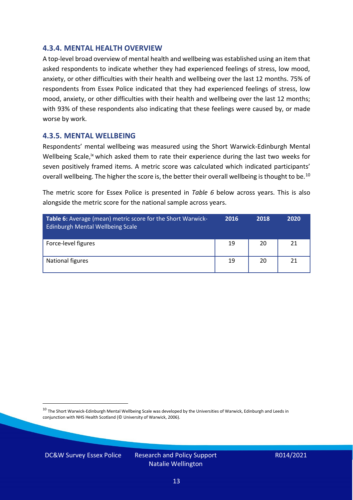#### **4.3.4. MENTAL HEALTH OVERVIEW**

A top-level broad overview of mental health and wellbeing was established using an item that asked respondents to indicate whether they had experienced feelings of stress, low mood, anxiety, or other difficulties with their health and wellbeing over the last 12 months. 75% of respondents from Essex Police indicated that they had experienced feelings of stress, low mood, anxiety, or other difficulties with their health and wellbeing over the last 12 months; with 93% of these respondents also indicating that these feelings were caused by, or made worse by work.

#### **4.3.5. MENTAL WELLBEING**

Respondents' mental wellbeing was measured using the Short Warwick-Edinburgh Mental Wellbeing Scale,<sup>ix</sup> which asked them to rate their experience during the last two weeks for seven positively framed items. A metric score was calculated which indicated participants' overall wellbeing. The higher the score is, the better their overall wellbeing is thought to be.<sup>10</sup>

The metric score for Essex Police is presented in *Table 6* below across years. This is also alongside the metric score for the national sample across years.

| <b>Table 6:</b> Average (mean) metric score for the Short Warwick-<br>Edinburgh Mental Wellbeing Scale | 2016 | 2018 | 2020 |
|--------------------------------------------------------------------------------------------------------|------|------|------|
| Force-level figures                                                                                    | 19   | 20   | 21   |
| National figures                                                                                       | 19   | 20   | 21   |

 $10$  The Short Warwick-Edinburgh Mental Wellbeing Scale was developed by the Universities of Warwick, Edinburgh and Leeds in conjunction with NHS Health Scotland (© University of Warwick, 2006).

DC&W Survey Essex Police Research and Policy Support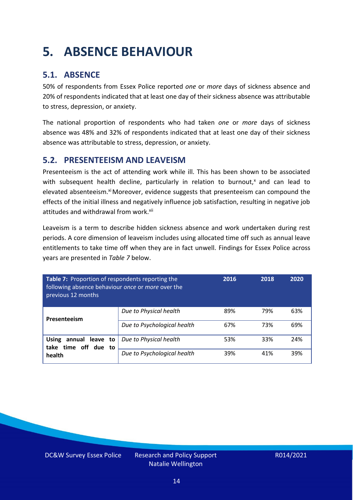### <span id="page-13-0"></span>**5. ABSENCE BEHAVIOUR**

### **5.1. ABSENCE**

50% of respondents from Essex Police reported *one* or *more* days of sickness absence and 20% of respondents indicated that at least one day of their sickness absence was attributable to stress, depression, or anxiety.

The national proportion of respondents who had taken *one* or *more* days of sickness absence was 48% and 32% of respondents indicated that at least one day of their sickness absence was attributable to stress, depression, or anxiety.

### **5.2. PRESENTEEISM AND LEAVEISM**

Presenteeism is the act of attending work while ill. This has been shown to be associated with subsequent health decline, particularly in relation to burnout, $x$  and can lead to elevated absenteeism.<sup>xi</sup> Moreover, evidence suggests that presenteeism can compound the effects of the initial illness and negatively influence job satisfaction, resulting in negative job attitudes and withdrawal from work.<sup>xii</sup>

Leaveism is a term to describe hidden sickness absence and work undertaken during rest periods. A core dimension of leaveism includes using allocated time off such as annual leave entitlements to take time off when they are in fact unwell. Findings for Essex Police across years are presented in *Table 7* below.

| Table 7: Proportion of respondents reporting the<br>following absence behaviour once or more over the<br>previous 12 months |                             | 2016 | 2018 | 2020 |
|-----------------------------------------------------------------------------------------------------------------------------|-----------------------------|------|------|------|
| Presenteeism                                                                                                                | Due to Physical health      | 89%  | 79%  | 63%  |
|                                                                                                                             | Due to Psychological health | 67%  | 73%  | 69%  |
| annual leave to<br><b>Using</b><br>time off due to<br>take                                                                  | Due to Physical health      | 53%  | 33%  | 24%  |
| health                                                                                                                      | Due to Psychological health | 39%  | 41%  | 39%  |

DC&W Survey Essex Police Research and Policy Support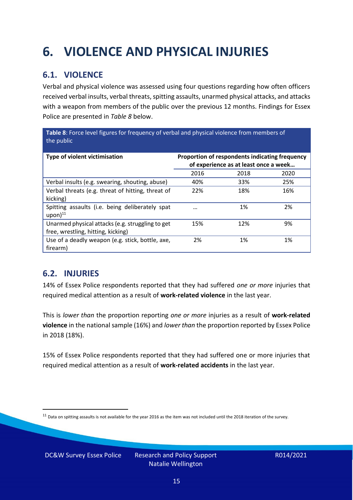## <span id="page-14-0"></span>**6. VIOLENCE AND PHYSICAL INJURIES**

### **6.1. VIOLENCE**

Verbal and physical violence was assessed using four questions regarding how often officers received verbal insults, verbal threats, spitting assaults, unarmed physical attacks, and attacks with a weapon from members of the public over the previous 12 months. Findings for Essex Police are presented in *Table 8* below.

**Table 8**: Force level figures for frequency of verbal and physical violence from members of the public

| Type of violent victimisation                                                          | Proportion of respondents indicating frequency<br>of experience as at least once a week |      |      |
|----------------------------------------------------------------------------------------|-----------------------------------------------------------------------------------------|------|------|
|                                                                                        | 2016                                                                                    | 2018 | 2020 |
| Verbal insults (e.g. swearing, shouting, abuse)                                        | 40%                                                                                     | 33%  | 25%  |
| Verbal threats (e.g. threat of hitting, threat of<br>kicking)                          | 22%                                                                                     | 18%  | 16%  |
| Spitting assaults (i.e. being deliberately spat<br>$upon)$ <sup>11</sup>               | $\cdots$                                                                                | 1%   | 2%   |
| Unarmed physical attacks (e.g. struggling to get<br>free, wrestling, hitting, kicking) | 15%                                                                                     | 12%  | 9%   |
| Use of a deadly weapon (e.g. stick, bottle, axe,<br>firearm)                           | 2%                                                                                      | 1%   | 1%   |

### **6.2. INJURIES**

14% of Essex Police respondents reported that they had suffered *one or more* injuries that required medical attention as a result of **work-related violence** in the last year.

This is *lower than* the proportion reporting *one or more* injuries as a result of **work-related violence** in the national sample (16%) and *lower than* the proportion reported by Essex Police in 2018 (18%).

15% of Essex Police respondents reported that they had suffered one or more injuries that required medical attention as a result of **work-related accidents** in the last year.

 $11$  Data on spitting assaults is not available for the year 2016 as the item was not included until the 2018 iteration of the survey.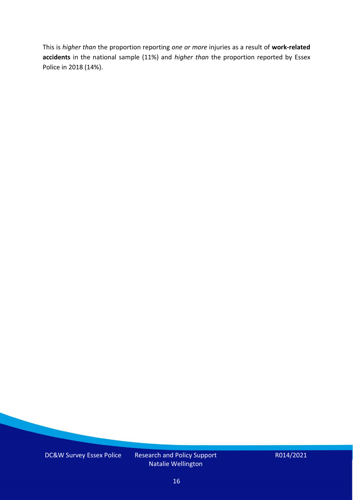This is *higher than* the proportion reporting *one or more* injuries as a result of **work-related accidents** in the national sample (11%) and *higher than* the proportion reported by Essex Police in 2018 (14%).

DC&W Survey Essex Police Research and Policy Support

Natalie Wellington

R014/2021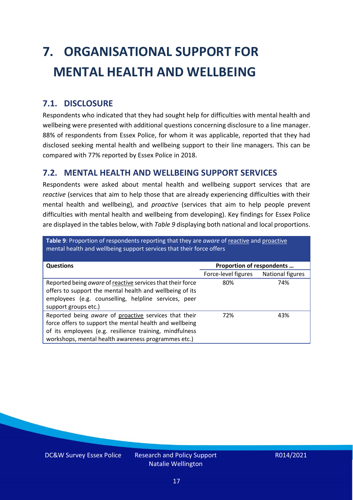# <span id="page-16-0"></span>**7. ORGANISATIONAL SUPPORT FOR MENTAL HEALTH AND WELLBEING**

### **7.1. DISCLOSURE**

Respondents who indicated that they had sought help for difficulties with mental health and wellbeing were presented with additional questions concerning disclosure to a line manager. 88% of respondents from Essex Police, for whom it was applicable, reported that they had disclosed seeking mental health and wellbeing support to their line managers. This can be compared with 77% reported by Essex Police in 2018.

### **7.2. MENTAL HEALTH AND WELLBEING SUPPORT SERVICES**

Respondents were asked about mental health and wellbeing support services that are *reactive* (services that aim to help those that are already experiencing difficulties with their mental health and wellbeing), and *proactive* (services that aim to help people prevent difficulties with mental health and wellbeing from developing). Key findings for Essex Police are displayed in the tables below, with *Table 9* displaying both national and local proportions.

**Table 9**: Proportion of respondents reporting that they are *aware* of reactive and proactive mental health and wellbeing support services that their force offers

| <b>Questions</b>                                                                                                                                                                                                                   | Proportion of respondents |                  |  |
|------------------------------------------------------------------------------------------------------------------------------------------------------------------------------------------------------------------------------------|---------------------------|------------------|--|
|                                                                                                                                                                                                                                    | Force-level figures       | National figures |  |
| Reported being aware of reactive services that their force<br>offers to support the mental health and wellbeing of its<br>employees (e.g. counselling, helpline services, peer<br>support groups etc.)                             | 80%                       | 74%              |  |
| Reported being aware of proactive services that their<br>force offers to support the mental health and wellbeing<br>of its employees (e.g. resilience training, mindfulness<br>workshops, mental health awareness programmes etc.) | 72%                       | 43%              |  |

DC&W Survey Essex Police Research and Policy Support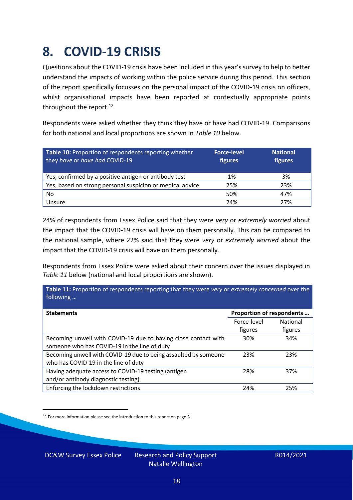### <span id="page-17-0"></span>**8. COVID-19 CRISIS**

Questions about the COVID-19 crisis have been included in this year's survey to help to better understand the impacts of working within the police service during this period. This section of the report specifically focusses on the personal impact of the COVID-19 crisis on officers, whilst organisational impacts have been reported at contextually appropriate points throughout the report.<sup>12</sup>

Respondents were asked whether they think they have or have had COVID-19. Comparisons for both national and local proportions are shown in *Table 10* below.

| Table 10: Proportion of respondents reporting whether<br>they have or have had COVID-19 | <b>Force-level</b><br>figures | <b>National</b><br>figures |
|-----------------------------------------------------------------------------------------|-------------------------------|----------------------------|
| Yes, confirmed by a positive antigen or antibody test                                   | 1%                            | 3%                         |
| Yes, based on strong personal suspicion or medical advice                               | 25%                           | 23%                        |
| No                                                                                      | 50%                           | 47%                        |
| Unsure                                                                                  | 24%                           | 27%                        |

24% of respondents from Essex Police said that they were *very* or *extremely worried* about the impact that the COVID-19 crisis will have on them personally. This can be compared to the national sample, where 22% said that they were *very* or *extremely worried* about the impact that the COVID-19 crisis will have on them personally.

Respondents from Essex Police were asked about their concern over the issues displayed in *Table 11* below (national and local proportions are shown).

| Table 11: Proportion of respondents reporting that they were very or extremely concerned over the<br>following |                           |                 |
|----------------------------------------------------------------------------------------------------------------|---------------------------|-----------------|
| <b>Statements</b>                                                                                              | Proportion of respondents |                 |
|                                                                                                                | Force-level               | <b>National</b> |
|                                                                                                                | figures                   | figures         |
| Becoming unwell with COVID-19 due to having close contact with                                                 | 30%                       | 34%             |
| someone who has COVID-19 in the line of duty                                                                   |                           |                 |
| Becoming unwell with COVID-19 due to being assaulted by someone                                                | 23%                       | 23%             |
| who has COVID-19 in the line of duty                                                                           |                           |                 |
| Having adequate access to COVID-19 testing (antigen                                                            | 28%                       | 37%             |
| and/or antibody diagnostic testing)                                                                            |                           |                 |
| Enforcing the lockdown restrictions                                                                            | 24%                       | 25%             |

<sup>12</sup> For more information please see the introduction to this report on page 3.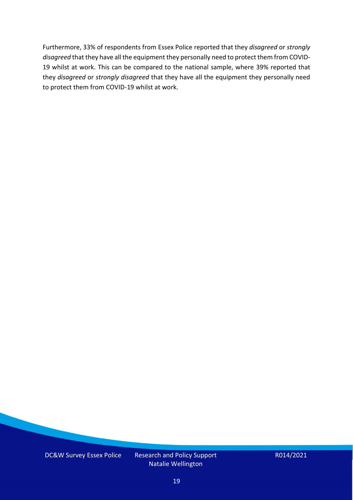Furthermore, 33% of respondents from Essex Police reported that they *disagreed* or *strongly disagreed* that they have all the equipment they personally need to protect them from COVID-19 whilst at work. This can be compared to the national sample, where 39% reported that they *disagreed* or *strongly disagreed* that they have all the equipment they personally need to protect them from COVID-19 whilst at work.

DC&W Survey Essex Police Research and Policy Support

Natalie Wellington

R014/2021